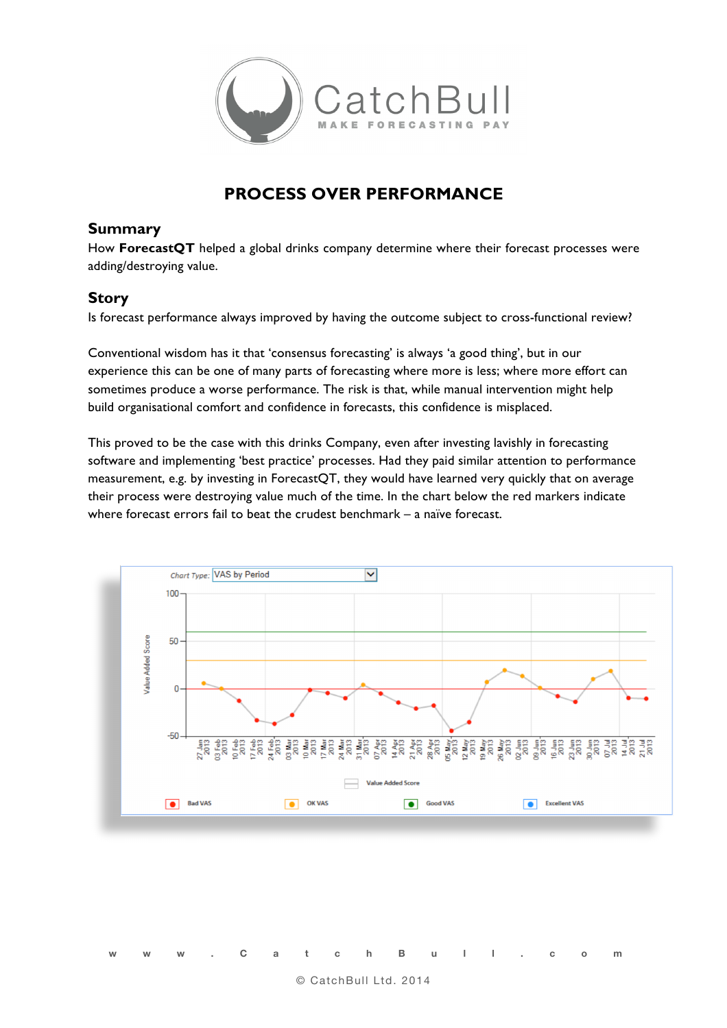

## **PROCESS OVER PERFORMANCE**

## **Summary**

How **ForecastQT** helped a global drinks company determine where their forecast processes were adding/destroying value.

## **Story**

Is forecast performance always improved by having the outcome subject to cross-functional review?

Conventional wisdom has it that 'consensus forecasting' is always 'a good thing', but in our experience this can be one of many parts of forecasting where more is less; where more effort can sometimes produce a worse performance. The risk is that, while manual intervention might help build organisational comfort and confidence in forecasts, this confidence is misplaced.

This proved to be the case with this drinks Company, even after investing lavishly in forecasting software and implementing 'best practice' processes. Had they paid similar attention to performance measurement, e.g. by investing in ForecastQT, they would have learned very quickly that on average their process were destroying value much of the time. In the chart below the red markers indicate where forecast errors fail to beat the crudest benchmark – a naïve forecast.